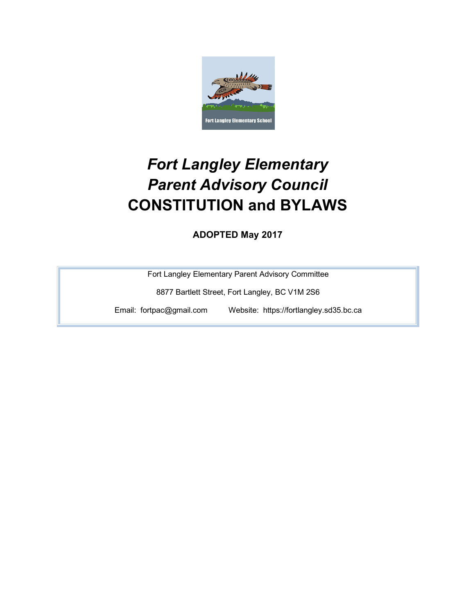

# *Fort Langley Elementary Parent Advisory Council* **CONSTITUTION and BYLAWS**

**ADOPTED May 2017**

Fort Langley Elementary Parent Advisory Committee

8877 Bartlett Street, Fort Langley, BC V1M 2S6

Email: fortpac@gmail.com Website: https://fortlangley.sd35.bc.ca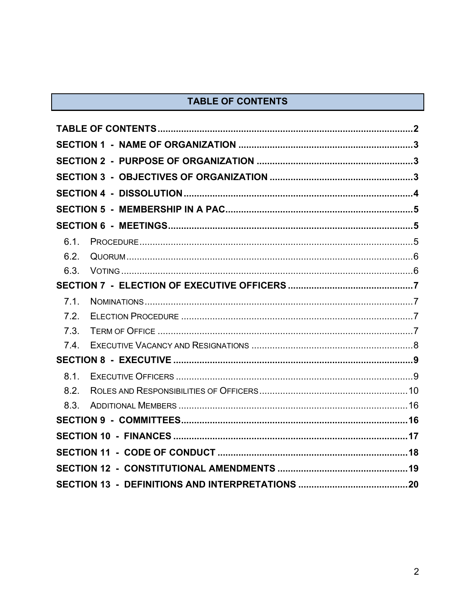# TABLE OF CONTENTS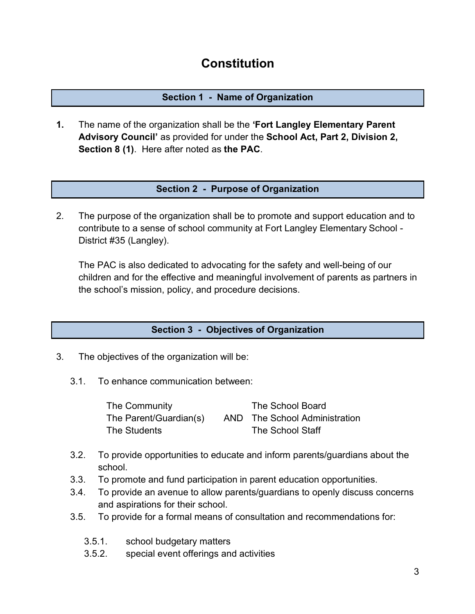# **Constitution**

# **Section 1 - Name of Organization**

**1.** The name of the organization shall be the **'Fort Langley Elementary Parent Advisory Council'** as provided for under the **School Act, Part 2, Division 2, Section 8 (1)**. Here after noted as **the PAC**.

# **Section 2 - Purpose of Organization**

2. The purpose of the organization shall be to promote and support education and to contribute to a sense of school community at Fort Langley Elementary School - District #35 (Langley).

The PAC is also dedicated to advocating for the safety and well-being of our children and for the effective and meaningful involvement of parents as partners in the school's mission, policy, and procedure decisions.

# **Section 3 - Objectives of Organization**

- 3. The objectives of the organization will be:
	- 3.1. To enhance communication between:

| The Community          | The School Board              |
|------------------------|-------------------------------|
| The Parent/Guardian(s) | AND The School Administration |
| The Students           | <b>The School Staff</b>       |

- 3.2. To provide opportunities to educate and inform parents/guardians about the school.
- 3.3. To promote and fund participation in parent education opportunities.
- 3.4. To provide an avenue to allow parents/guardians to openly discuss concerns and aspirations for their school.
- 3.5. To provide for a formal means of consultation and recommendations for:
	- 3.5.1. school budgetary matters
	- 3.5.2. special event offerings and activities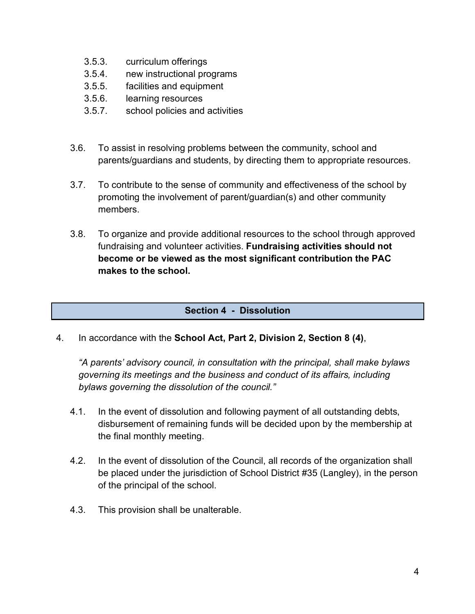- 3.5.3. curriculum offerings
- 3.5.4. new instructional programs
- 3.5.5. facilities and equipment
- 3.5.6. learning resources
- 3.5.7. school policies and activities
- 3.6. To assist in resolving problems between the community, school and parents/guardians and students, by directing them to appropriate resources.
- 3.7. To contribute to the sense of community and effectiveness of the school by promoting the involvement of parent/guardian(s) and other community members.
- 3.8. To organize and provide additional resources to the school through approved fundraising and volunteer activities. **Fundraising activities should not become or be viewed as the most significant contribution the PAC makes to the school.**

# **Section 4 - Dissolution**

4. In accordance with the **School Act, Part 2, Division 2, Section 8 (4)**,

*"A parents' advisory council, in consultation with the principal, shall make bylaws governing its meetings and the business and conduct of its affairs, including bylaws governing the dissolution of the council."*

- 4.1. In the event of dissolution and following payment of all outstanding debts, disbursement of remaining funds will be decided upon by the membership at the final monthly meeting.
- 4.2. In the event of dissolution of the Council, all records of the organization shall be placed under the jurisdiction of School District #35 (Langley), in the person of the principal of the school.
- 4.3. This provision shall be unalterable.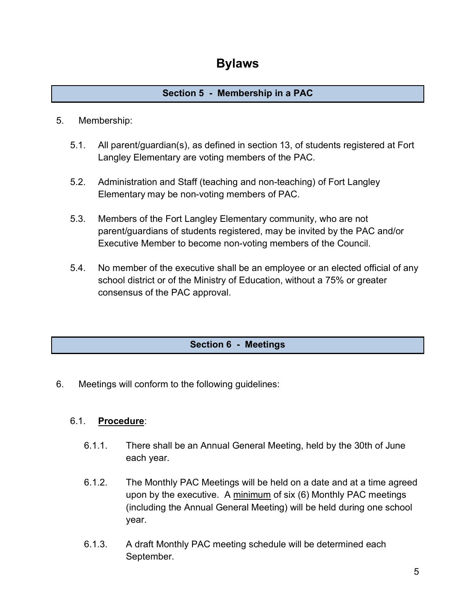# **Section 5 - Membership in a PAC**

# 5. Membership:

- 5.1. All parent/guardian(s), as defined in section 13, of students registered at Fort Langley Elementary are voting members of the PAC.
- 5.2. Administration and Staff (teaching and non-teaching) of Fort Langley Elementary may be non-voting members of PAC.
- 5.3. Members of the Fort Langley Elementary community, who are not parent/guardians of students registered, may be invited by the PAC and/or Executive Member to become non-voting members of the Council.
- 5.4. No member of the executive shall be an employee or an elected official of any school district or of the Ministry of Education, without a 75% or greater consensus of the PAC approval.

# **Section 6 - Meetings**

6. Meetings will conform to the following guidelines:

# 6.1. **Procedure**:

- 6.1.1. There shall be an Annual General Meeting, held by the 30th of June each year.
- 6.1.2. The Monthly PAC Meetings will be held on a date and at a time agreed upon by the executive. A minimum of six (6) Monthly PAC meetings (including the Annual General Meeting) will be held during one school year.
- 6.1.3. A draft Monthly PAC meeting schedule will be determined each September.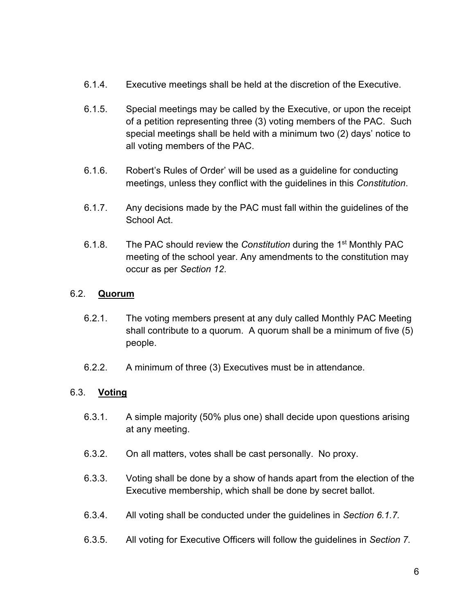- 6.1.4. Executive meetings shall be held at the discretion of the Executive.
- 6.1.5. Special meetings may be called by the Executive, or upon the receipt of a petition representing three (3) voting members of the PAC. Such special meetings shall be held with a minimum two (2) days' notice to all voting members of the PAC.
- 6.1.6. Robert's Rules of Order' will be used as a guideline for conducting meetings, unless they conflict with the guidelines in this *Constitution*.
- 6.1.7. Any decisions made by the PAC must fall within the guidelines of the School Act.
- 6.1.8. The PAC should review the *Constitution* during the 1st Monthly PAC meeting of the school year. Any amendments to the constitution may occur as per *Section 12*.

# 6.2. **Quorum**

- 6.2.1. The voting members present at any duly called Monthly PAC Meeting shall contribute to a quorum. A quorum shall be a minimum of five (5) people.
- 6.2.2. A minimum of three (3) Executives must be in attendance.

# 6.3. **Voting**

- 6.3.1. A simple majority (50% plus one) shall decide upon questions arising at any meeting.
- 6.3.2. On all matters, votes shall be cast personally. No proxy.
- 6.3.3. Voting shall be done by a show of hands apart from the election of the Executive membership, which shall be done by secret ballot.
- 6.3.4. All voting shall be conducted under the guidelines in *Section 6.1.7.*
- 6.3.5. All voting for Executive Officers will follow the guidelines in *Section 7.*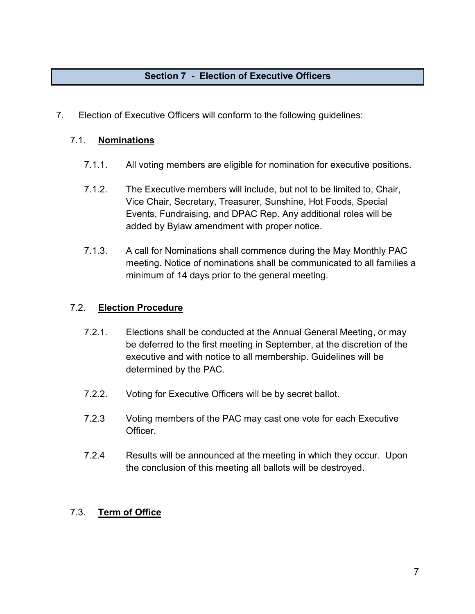# **Section 7 - Election of Executive Officers**

7. Election of Executive Officers will conform to the following guidelines:

#### 7.1. **Nominations**

- 7.1.1. All voting members are eligible for nomination for executive positions.
- 7.1.2. The Executive members will include, but not to be limited to, Chair, Vice Chair, Secretary, Treasurer, Sunshine, Hot Foods, Special Events, Fundraising, and DPAC Rep. Any additional roles will be added by Bylaw amendment with proper notice.
- 7.1.3. A call for Nominations shall commence during the May Monthly PAC meeting. Notice of nominations shall be communicated to all families a minimum of 14 days prior to the general meeting.

#### 7.2. **Election Procedure**

- 7.2.1. Elections shall be conducted at the Annual General Meeting, or may be deferred to the first meeting in September, at the discretion of the executive and with notice to all membership. Guidelines will be determined by the PAC.
- 7.2.2. Voting for Executive Officers will be by secret ballot.
- 7.2.3 Voting members of the PAC may cast one vote for each Executive Officer.
- 7.2.4 Results will be announced at the meeting in which they occur. Upon the conclusion of this meeting all ballots will be destroyed.

#### 7.3. **Term of Office**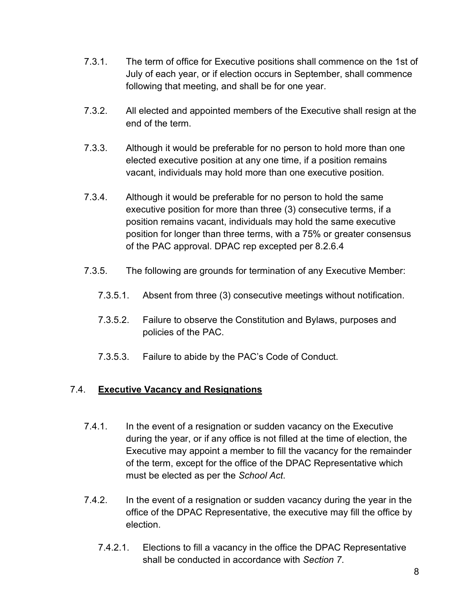- 7.3.1. The term of office for Executive positions shall commence on the 1st of July of each year, or if election occurs in September, shall commence following that meeting, and shall be for one year.
- 7.3.2. All elected and appointed members of the Executive shall resign at the end of the term.
- 7.3.3. Although it would be preferable for no person to hold more than one elected executive position at any one time, if a position remains vacant, individuals may hold more than one executive position.
- 7.3.4. Although it would be preferable for no person to hold the same executive position for more than three (3) consecutive terms, if a position remains vacant, individuals may hold the same executive position for longer than three terms, with a 75% or greater consensus of the PAC approval. DPAC rep excepted per 8.2.6.4
- 7.3.5. The following are grounds for termination of any Executive Member:
	- 7.3.5.1. Absent from three (3) consecutive meetings without notification.
	- 7.3.5.2. Failure to observe the Constitution and Bylaws, purposes and policies of the PAC.
	- 7.3.5.3. Failure to abide by the PAC's Code of Conduct.

# 7.4. **Executive Vacancy and Resignations**

- 7.4.1. In the event of a resignation or sudden vacancy on the Executive during the year, or if any office is not filled at the time of election, the Executive may appoint a member to fill the vacancy for the remainder of the term, except for the office of the DPAC Representative which must be elected as per the *School Act*.
- 7.4.2. In the event of a resignation or sudden vacancy during the year in the office of the DPAC Representative, the executive may fill the office by election.
	- 7.4.2.1. Elections to fill a vacancy in the office the DPAC Representative shall be conducted in accordance with *Section 7*.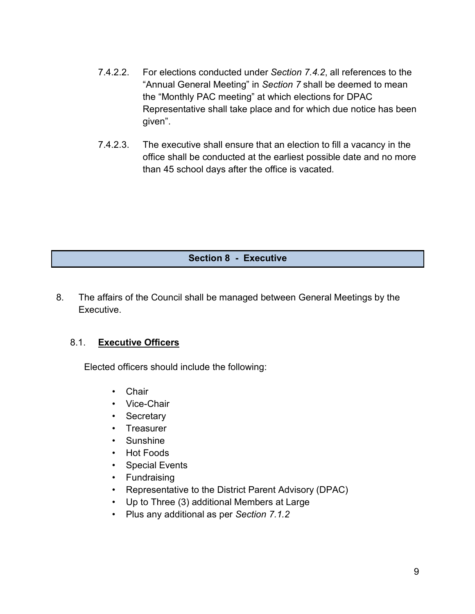- 7.4.2.2. For elections conducted under *Section 7.4.2*, all references to the "Annual General Meeting" in *Section 7* shall be deemed to mean the "Monthly PAC meeting" at which elections for DPAC Representative shall take place and for which due notice has been given".
- 7.4.2.3. The executive shall ensure that an election to fill a vacancy in the office shall be conducted at the earliest possible date and no more than 45 school days after the office is vacated.

# **Section 8 - Executive**

8. The affairs of the Council shall be managed between General Meetings by the Executive.

#### 8.1. **Executive Officers**

Elected officers should include the following:

- Chair
- Vice-Chair
- Secretary
- Treasurer
- Sunshine
- Hot Foods
- Special Events
- Fundraising
- Representative to the District Parent Advisory (DPAC)
- Up to Three (3) additional Members at Large
- Plus any additional as per *Section 7.1.2*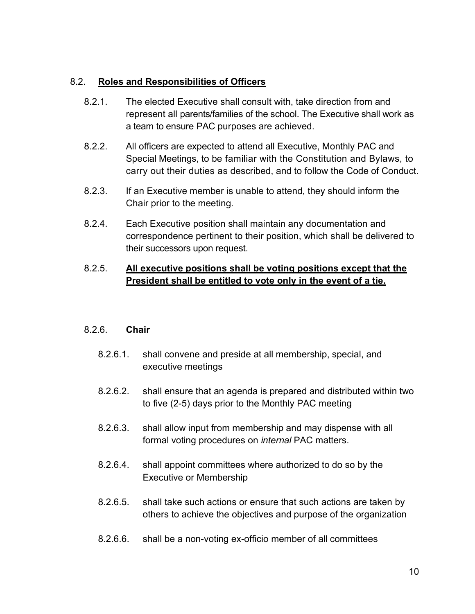#### 8.2. **Roles and Responsibilities of Officers**

- 8.2.1. The elected Executive shall consult with, take direction from and represent all parents/families of the school. The Executive shall work as a team to ensure PAC purposes are achieved.
- 8.2.2. All officers are expected to attend all Executive, Monthly PAC and Special Meetings, to be familiar with the Constitution and Bylaws, to carry out their duties as described, and to follow the Code of Conduct.
- 8.2.3. If an Executive member is unable to attend, they should inform the Chair prior to the meeting.
- 8.2.4. Each Executive position shall maintain any documentation and correspondence pertinent to their position, which shall be delivered to their successors upon request.

# 8.2.5. **All executive positions shall be voting positions except that the President shall be entitled to vote only in the event of a tie.**

# 8.2.6. **Chair**

- 8.2.6.1. shall convene and preside at all membership, special, and executive meetings
- 8.2.6.2. shall ensure that an agenda is prepared and distributed within two to five (2-5) days prior to the Monthly PAC meeting
- 8.2.6.3. shall allow input from membership and may dispense with all formal voting procedures on *internal* PAC matters.
- 8.2.6.4. shall appoint committees where authorized to do so by the Executive or Membership
- 8.2.6.5. shall take such actions or ensure that such actions are taken by others to achieve the objectives and purpose of the organization
- 8.2.6.6. shall be a non-voting ex-officio member of all committees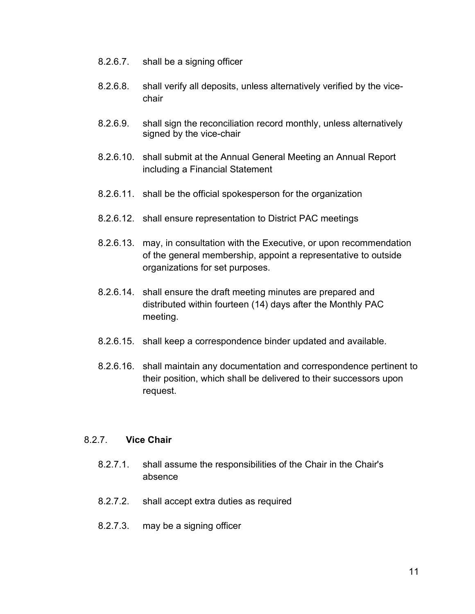- 8.2.6.7. shall be a signing officer
- 8.2.6.8. shall verify all deposits, unless alternatively verified by the vicechair
- 8.2.6.9. shall sign the reconciliation record monthly, unless alternatively signed by the vice-chair
- 8.2.6.10. shall submit at the Annual General Meeting an Annual Report including a Financial Statement
- 8.2.6.11. shall be the official spokesperson for the organization
- 8.2.6.12. shall ensure representation to District PAC meetings
- 8.2.6.13. may, in consultation with the Executive, or upon recommendation of the general membership, appoint a representative to outside organizations for set purposes.
- 8.2.6.14. shall ensure the draft meeting minutes are prepared and distributed within fourteen (14) days after the Monthly PAC meeting.
- 8.2.6.15. shall keep a correspondence binder updated and available.
- 8.2.6.16. shall maintain any documentation and correspondence pertinent to their position, which shall be delivered to their successors upon request.

#### 8.2.7. **Vice Chair**

- 8.2.7.1. shall assume the responsibilities of the Chair in the Chair's absence
- 8.2.7.2. shall accept extra duties as required
- 8.2.7.3. may be a signing officer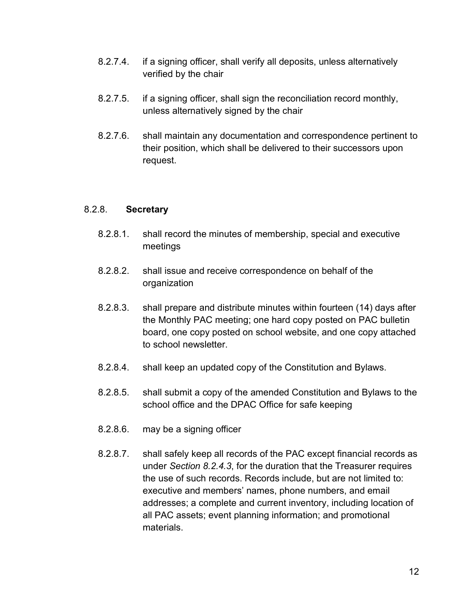- 8.2.7.4. if a signing officer, shall verify all deposits, unless alternatively verified by the chair
- 8.2.7.5. if a signing officer, shall sign the reconciliation record monthly, unless alternatively signed by the chair
- 8.2.7.6. shall maintain any documentation and correspondence pertinent to their position, which shall be delivered to their successors upon request.

#### 8.2.8. **Secretary**

- 8.2.8.1. shall record the minutes of membership, special and executive meetings
- 8.2.8.2. shall issue and receive correspondence on behalf of the organization
- 8.2.8.3. shall prepare and distribute minutes within fourteen (14) days after the Monthly PAC meeting; one hard copy posted on PAC bulletin board, one copy posted on school website, and one copy attached to school newsletter.
- 8.2.8.4. shall keep an updated copy of the Constitution and Bylaws.
- 8.2.8.5. shall submit a copy of the amended Constitution and Bylaws to the school office and the DPAC Office for safe keeping
- 8.2.8.6. may be a signing officer
- 8.2.8.7. shall safely keep all records of the PAC except financial records as under *Section 8.2.4.3*, for the duration that the Treasurer requires the use of such records. Records include, but are not limited to: executive and members' names, phone numbers, and email addresses; a complete and current inventory, including location of all PAC assets; event planning information; and promotional materials.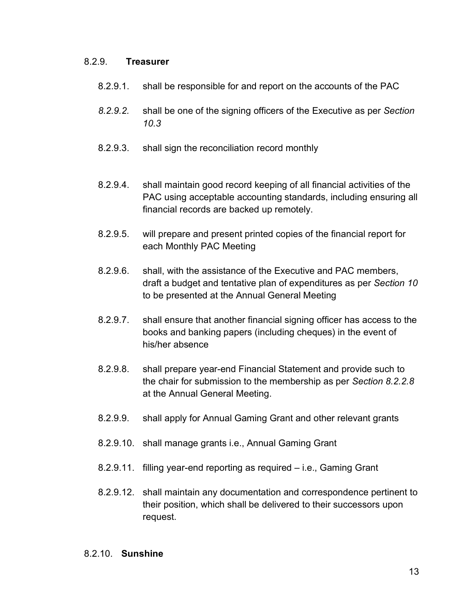#### 8.2.9. **Treasurer**

- 8.2.9.1. shall be responsible for and report on the accounts of the PAC
- *8.2.9.2.* shall be one of the signing officers of the Executive as per *Section 10.3*
- 8.2.9.3. shall sign the reconciliation record monthly
- 8.2.9.4. shall maintain good record keeping of all financial activities of the PAC using acceptable accounting standards, including ensuring all financial records are backed up remotely.
- 8.2.9.5. will prepare and present printed copies of the financial report for each Monthly PAC Meeting
- 8.2.9.6. shall, with the assistance of the Executive and PAC members, draft a budget and tentative plan of expenditures as per *Section 10* to be presented at the Annual General Meeting
- 8.2.9.7. shall ensure that another financial signing officer has access to the books and banking papers (including cheques) in the event of his/her absence
- 8.2.9.8. shall prepare year-end Financial Statement and provide such to the chair for submission to the membership as per *Section 8.2.2.8* at the Annual General Meeting.
- 8.2.9.9. shall apply for Annual Gaming Grant and other relevant grants
- 8.2.9.10. shall manage grants i.e., Annual Gaming Grant
- 8.2.9.11. filling year-end reporting as required i.e., Gaming Grant
- 8.2.9.12. shall maintain any documentation and correspondence pertinent to their position, which shall be delivered to their successors upon request.

#### 8.2.10. **Sunshine**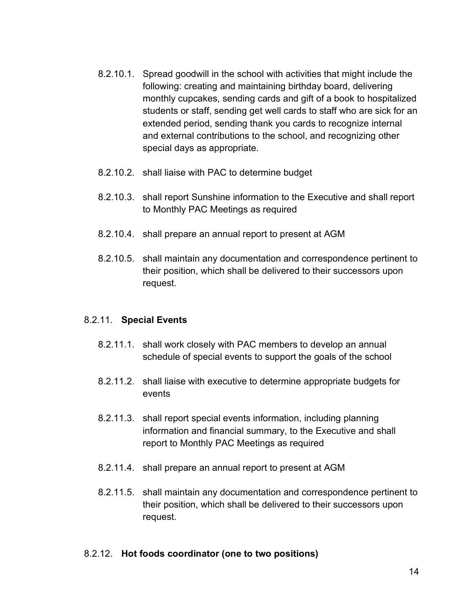- 8.2.10.1. Spread goodwill in the school with activities that might include the following: creating and maintaining birthday board, delivering monthly cupcakes, sending cards and gift of a book to hospitalized students or staff, sending get well cards to staff who are sick for an extended period, sending thank you cards to recognize internal and external contributions to the school, and recognizing other special days as appropriate.
- 8.2.10.2. shall liaise with PAC to determine budget
- 8.2.10.3. shall report Sunshine information to the Executive and shall report to Monthly PAC Meetings as required
- 8.2.10.4. shall prepare an annual report to present at AGM
- 8.2.10.5. shall maintain any documentation and correspondence pertinent to their position, which shall be delivered to their successors upon request.

#### 8.2.11. **Special Events**

- 8.2.11.1. shall work closely with PAC members to develop an annual schedule of special events to support the goals of the school
- 8.2.11.2. shall liaise with executive to determine appropriate budgets for events
- 8.2.11.3. shall report special events information, including planning information and financial summary, to the Executive and shall report to Monthly PAC Meetings as required
- 8.2.11.4. shall prepare an annual report to present at AGM
- 8.2.11.5. shall maintain any documentation and correspondence pertinent to their position, which shall be delivered to their successors upon request.

#### 8.2.12. **Hot foods coordinator (one to two positions)**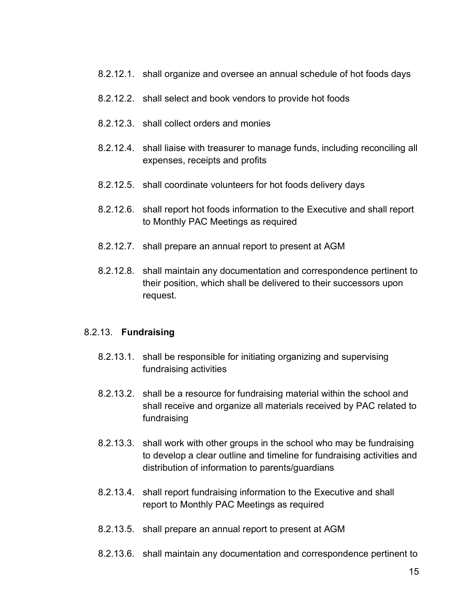- 8.2.12.1. shall organize and oversee an annual schedule of hot foods days
- 8.2.12.2. shall select and book vendors to provide hot foods
- 8.2.12.3. shall collect orders and monies
- 8.2.12.4. shall liaise with treasurer to manage funds, including reconciling all expenses, receipts and profits
- 8.2.12.5. shall coordinate volunteers for hot foods delivery days
- 8.2.12.6. shall report hot foods information to the Executive and shall report to Monthly PAC Meetings as required
- 8.2.12.7. shall prepare an annual report to present at AGM
- 8.2.12.8. shall maintain any documentation and correspondence pertinent to their position, which shall be delivered to their successors upon request.

#### 8.2.13. **Fundraising**

- 8.2.13.1. shall be responsible for initiating organizing and supervising fundraising activities
- 8.2.13.2. shall be a resource for fundraising material within the school and shall receive and organize all materials received by PAC related to fundraising
- 8.2.13.3. shall work with other groups in the school who may be fundraising to develop a clear outline and timeline for fundraising activities and distribution of information to parents/guardians
- 8.2.13.4. shall report fundraising information to the Executive and shall report to Monthly PAC Meetings as required
- 8.2.13.5. shall prepare an annual report to present at AGM
- 8.2.13.6. shall maintain any documentation and correspondence pertinent to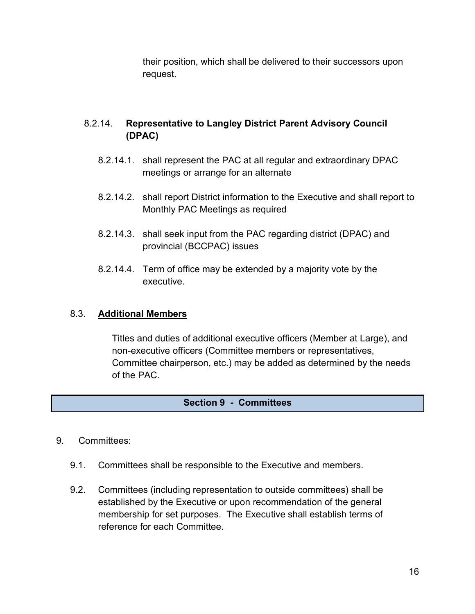their position, which shall be delivered to their successors upon request.

# 8.2.14. **Representative to Langley District Parent Advisory Council (DPAC)**

- 8.2.14.1. shall represent the PAC at all regular and extraordinary DPAC meetings or arrange for an alternate
- 8.2.14.2. shall report District information to the Executive and shall report to Monthly PAC Meetings as required
- 8.2.14.3. shall seek input from the PAC regarding district (DPAC) and provincial (BCCPAC) issues
- 8.2.14.4. Term of office may be extended by a majority vote by the executive.

# 8.3. **Additional Members**

Titles and duties of additional executive officers (Member at Large), and non-executive officers (Committee members or representatives, Committee chairperson, etc.) may be added as determined by the needs of the PAC.

# **Section 9 - Committees**

- 9. Committees:
	- 9.1. Committees shall be responsible to the Executive and members.
	- 9.2. Committees (including representation to outside committees) shall be established by the Executive or upon recommendation of the general membership for set purposes. The Executive shall establish terms of reference for each Committee.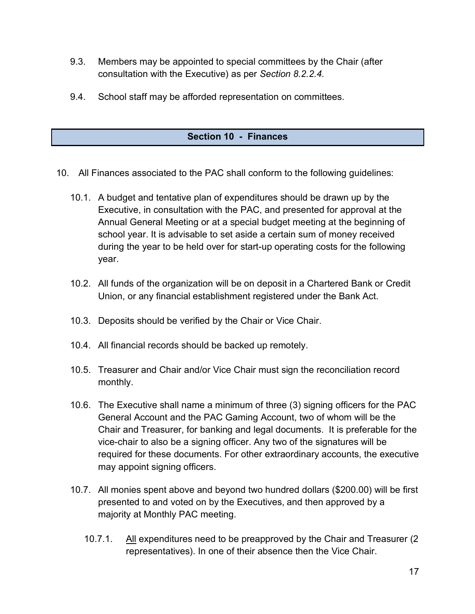- 9.3. Members may be appointed to special committees by the Chair (after consultation with the Executive) as per *Section 8.2.2.4*.
- 9.4. School staff may be afforded representation on committees.

# **Section 10 - Finances**

- 10. All Finances associated to the PAC shall conform to the following guidelines:
	- 10.1. A budget and tentative plan of expenditures should be drawn up by the Executive, in consultation with the PAC, and presented for approval at the Annual General Meeting or at a special budget meeting at the beginning of school year. It is advisable to set aside a certain sum of money received during the year to be held over for start-up operating costs for the following year.
	- 10.2. All funds of the organization will be on deposit in a Chartered Bank or Credit Union, or any financial establishment registered under the Bank Act.
	- 10.3. Deposits should be verified by the Chair or Vice Chair.
	- 10.4. All financial records should be backed up remotely.
	- 10.5. Treasurer and Chair and/or Vice Chair must sign the reconciliation record monthly.
	- 10.6. The Executive shall name a minimum of three (3) signing officers for the PAC General Account and the PAC Gaming Account, two of whom will be the Chair and Treasurer, for banking and legal documents. It is preferable for the vice-chair to also be a signing officer. Any two of the signatures will be required for these documents. For other extraordinary accounts, the executive may appoint signing officers.
	- 10.7. All monies spent above and beyond two hundred dollars (\$200.00) will be first presented to and voted on by the Executives, and then approved by a majority at Monthly PAC meeting.
		- 10.7.1. All expenditures need to be preapproved by the Chair and Treasurer (2 representatives). In one of their absence then the Vice Chair.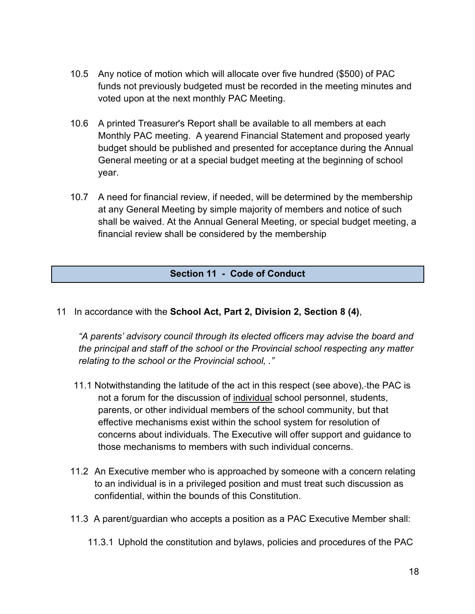- 10.5 Any notice of motion which will allocate over five hundred (\$500) of PAC funds not previously budgeted must be recorded in the meeting minutes and voted upon at the next monthly PAC Meeting.
- 10.6 A printed Treasurer's Report shall be available to all members at each Monthly PAC meeting. A yearend Financial Statement and proposed yearly budget should be published and presented for acceptance during the Annual General meeting or at a special budget meeting at the beginning of school year.
- 10.7 A need for financial review, if needed, will be determined by the membership at any General Meeting by simple majority of members and notice of such shall be waived. At the Annual General Meeting, or special budget meeting, a financial review shall be considered by the membership

#### **Section 11 - Code of Conduct**

11 In accordance with the **School Act, Part 2, Division 2, Section 8 (4)**,

*"A parents' advisory council through its elected officers may advise the board and the principal and staff of the school or the Provincial school respecting any matter relating to the school or the Provincial school, ."*

- 11.1 Notwithstanding the latitude of the act in this respect (see above), the PAC is not a forum for the discussion of individual school personnel, students, parents, or other individual members of the school community, but that effective mechanisms exist within the school system for resolution of concerns about individuals. The Executive will offer support and guidance to those mechanisms to members with such individual concerns.
- 11.2 An Executive member who is approached by someone with a concern relating to an individual is in a privileged position and must treat such discussion as confidential, within the bounds of this Constitution.
- 11.3 A parent/guardian who accepts a position as a PAC Executive Member shall:
	- 11.3.1 Uphold the constitution and bylaws, policies and procedures of the PAC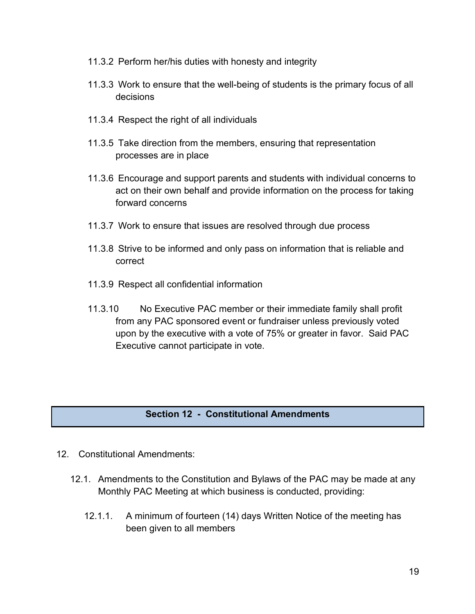- 11.3.2 Perform her/his duties with honesty and integrity
- 11.3.3 Work to ensure that the well-being of students is the primary focus of all decisions
- 11.3.4 Respect the right of all individuals
- 11.3.5 Take direction from the members, ensuring that representation processes are in place
- 11.3.6 Encourage and support parents and students with individual concerns to act on their own behalf and provide information on the process for taking forward concerns
- 11.3.7 Work to ensure that issues are resolved through due process
- 11.3.8 Strive to be informed and only pass on information that is reliable and correct
- 11.3.9 Respect all confidential information
- 11.3.10 No Executive PAC member or their immediate family shall profit from any PAC sponsored event or fundraiser unless previously voted upon by the executive with a vote of 75% or greater in favor. Said PAC Executive cannot participate in vote.

# **Section 12 - Constitutional Amendments**

- 12. Constitutional Amendments:
	- 12.1. Amendments to the Constitution and Bylaws of the PAC may be made at any Monthly PAC Meeting at which business is conducted, providing:
		- 12.1.1. A minimum of fourteen (14) days Written Notice of the meeting has been given to all members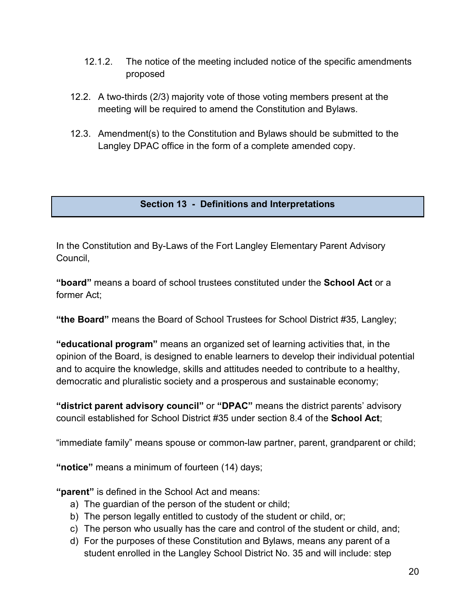- 12.1.2. The notice of the meeting included notice of the specific amendments proposed
- 12.2. A two-thirds (2/3) majority vote of those voting members present at the meeting will be required to amend the Constitution and Bylaws.
- 12.3. Amendment(s) to the Constitution and Bylaws should be submitted to the Langley DPAC office in the form of a complete amended copy.

**Section 13 - Definitions and Interpretations**

In the Constitution and By-Laws of the Fort Langley Elementary Parent Advisory Council,

**"board"** means a board of school trustees constituted under the **School Act** or a former Act;

**"the Board"** means the Board of School Trustees for School District #35, Langley;

**"educational program"** means an organized set of learning activities that, in the opinion of the Board, is designed to enable learners to develop their individual potential and to acquire the knowledge, skills and attitudes needed to contribute to a healthy, democratic and pluralistic society and a prosperous and sustainable economy;

**"district parent advisory council"** or **"DPAC"** means the district parents' advisory council established for School District #35 under section 8.4 of the **School Act**;

"immediate family" means spouse or common-law partner, parent, grandparent or child;

**"notice"** means a minimum of fourteen (14) days;

**"parent"** is defined in the School Act and means:

- a) The guardian of the person of the student or child;
- b) The person legally entitled to custody of the student or child, or;
- c) The person who usually has the care and control of the student or child, and;
- d) For the purposes of these Constitution and Bylaws, means any parent of a student enrolled in the Langley School District No. 35 and will include: step